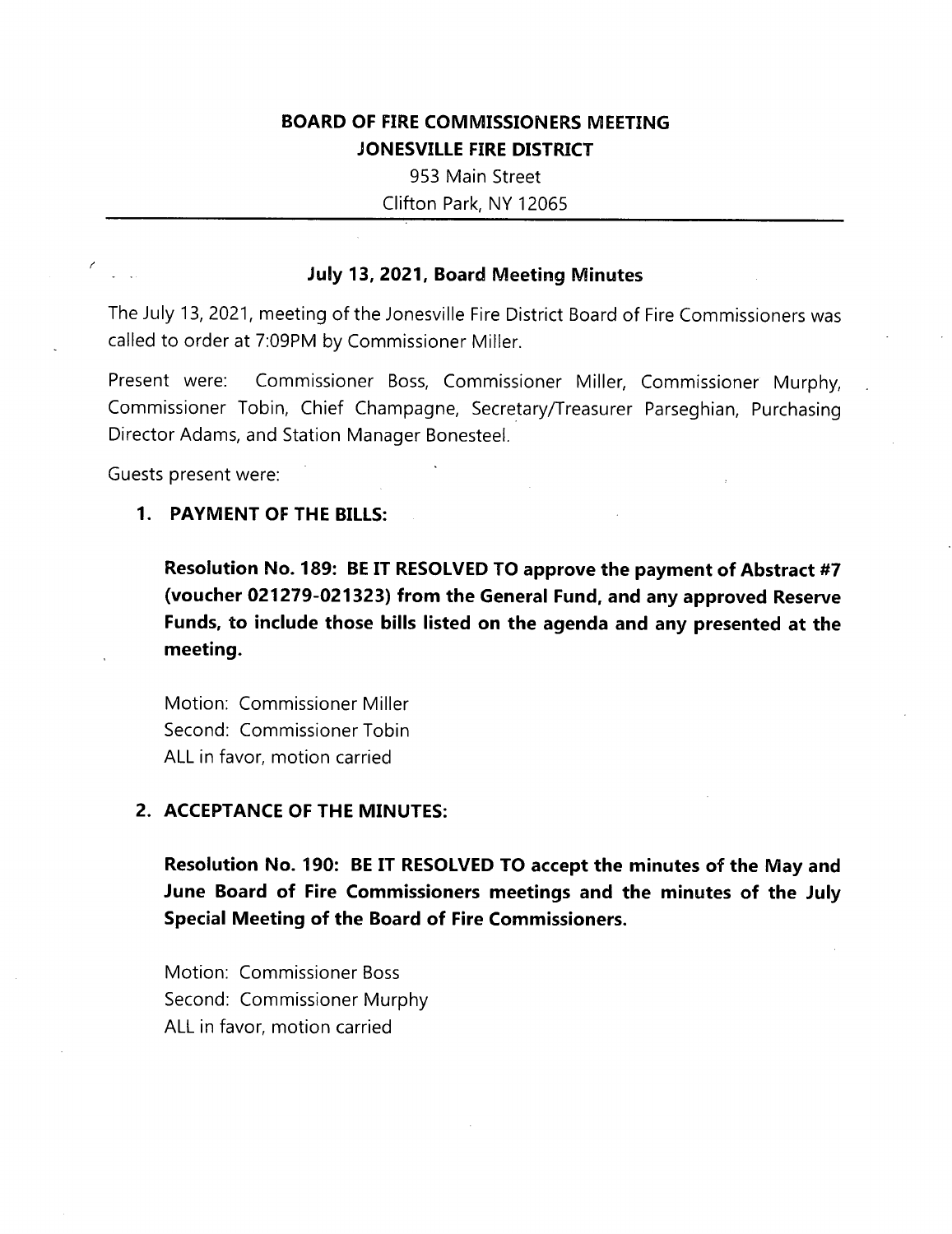# **BOARD OF FIRE COMMISSIONERS MEETING JONESVILLE FIRE DISTRICT**

953 Main Street

Clifton Park, NY 12065

### **July 13, 2021, Board Meeting Minutes**

The July 13, 2021, meeting of the Jonesville Fire District Board of Fire Commissioners was called to order at 7:09PM by Commissioner Miller.

Present were: Commissioner Boss, Commissioner Miller, Commissioner Murphy, Commissioner Tobin, Chief Champagne, Secretary/Treasurer Parseghian, Purchasing Director Adams, and Station Manager Bonesteel.

Guests present were:

#### **1**. **PAYMENT OF THE BILLS:**

**Resolution No. 189: BE IT RESOLVED TO approve the payment of Abstract #7 (voucher 021279-021323) from the General Fund, and any approved Reserve Funds, to include those bills listed on the agenda and any presented at the meeting.**

Motion: Commissioner Miller Second: Commissioner Tobin ALL in favor, motion carried

#### **2. ACCEPTANCE OF THE MINUTES:**

**Resolution No. 190: BE IT RESOLVED TO accept the minutes of the May and June Board of Fire Commissioners meetings and the minutes of the July Special Meeting of the Board of Fire Commissioners.**

Motion: Commissioner Boss Second: Commissioner Murphy ALL in favor, motion carried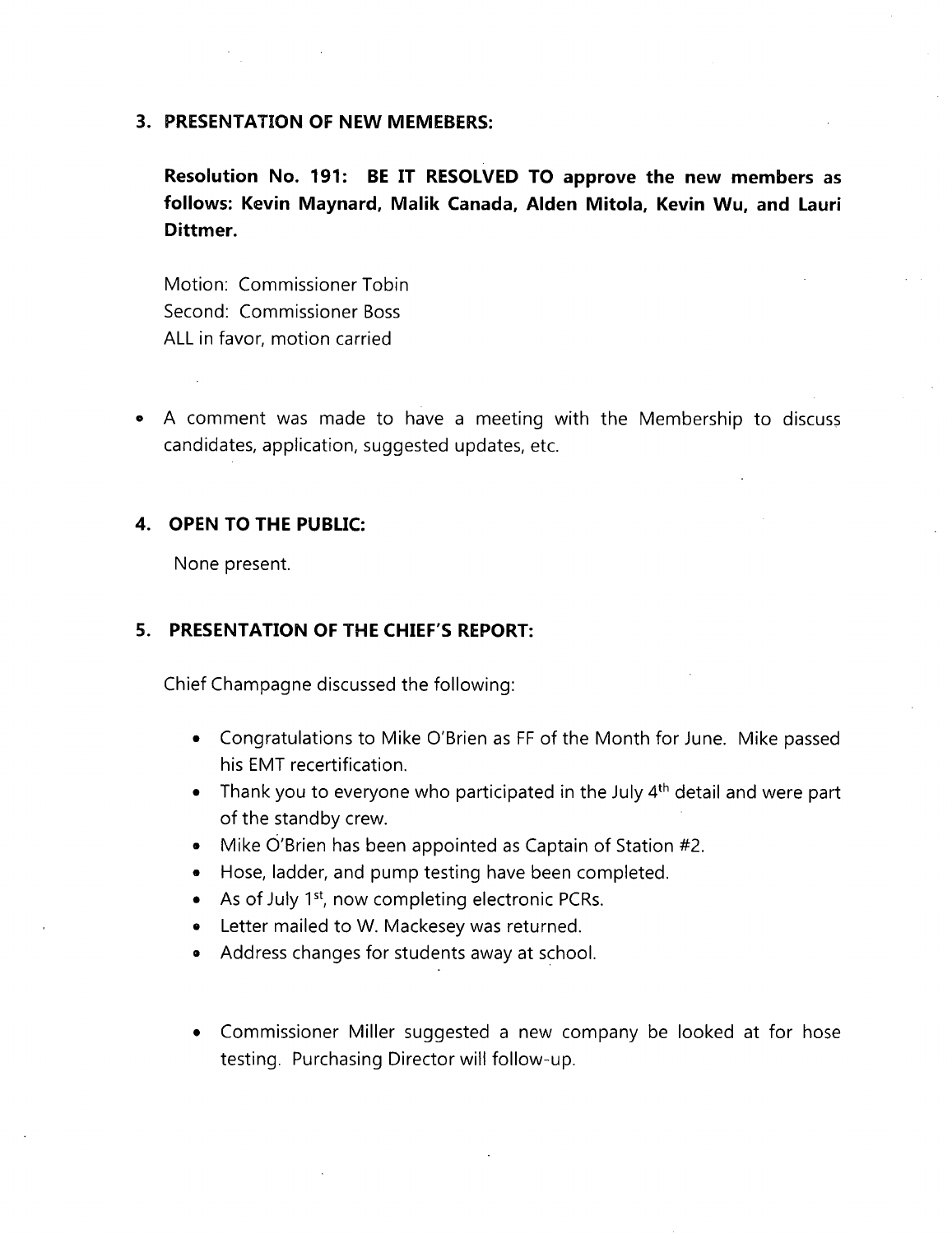#### **3. PRESENTATION OF NEW MEMEBERS:**

**Resolution No. 191: BE IT RESOLVED TO approve the new members as follows: Kevin Maynard, Malik Canada, Alden Mitola, Kevin Wu, and Lauri Dittmer.**

Motion: Commissioner Tobin Second: Commissioner Boss ALL in favor, motion carried

• A comment was made to have a meeting with the Membership to discuss candidates, application, suggested updates, etc.

#### **4. OPEN TO THE PUBLIC:**

None present.

### **5. PRESENTATION OF THE CHIEF'S REPORT:**

Chief Champagne discussed the following:

- Congratulations to Mike O'Brien as FF of the Month for June. Mike passed his EMT recertification.
- Thank you to everyone who participated in the July  $4<sup>th</sup>$  detail and were part of the standby crew.
- Mike O'Brien has been appointed as Captain of Station #2.
- Hose, ladder, and pump testing have been completed.
- As of July 1<sup>st</sup>, now completing electronic PCRs.
- Letter mailed to W. Mackesey was returned.
- Address changes for students away at school.
- Commissioner Miller suggested a new company be looked at for hose testing. Purchasing Director will follow-up.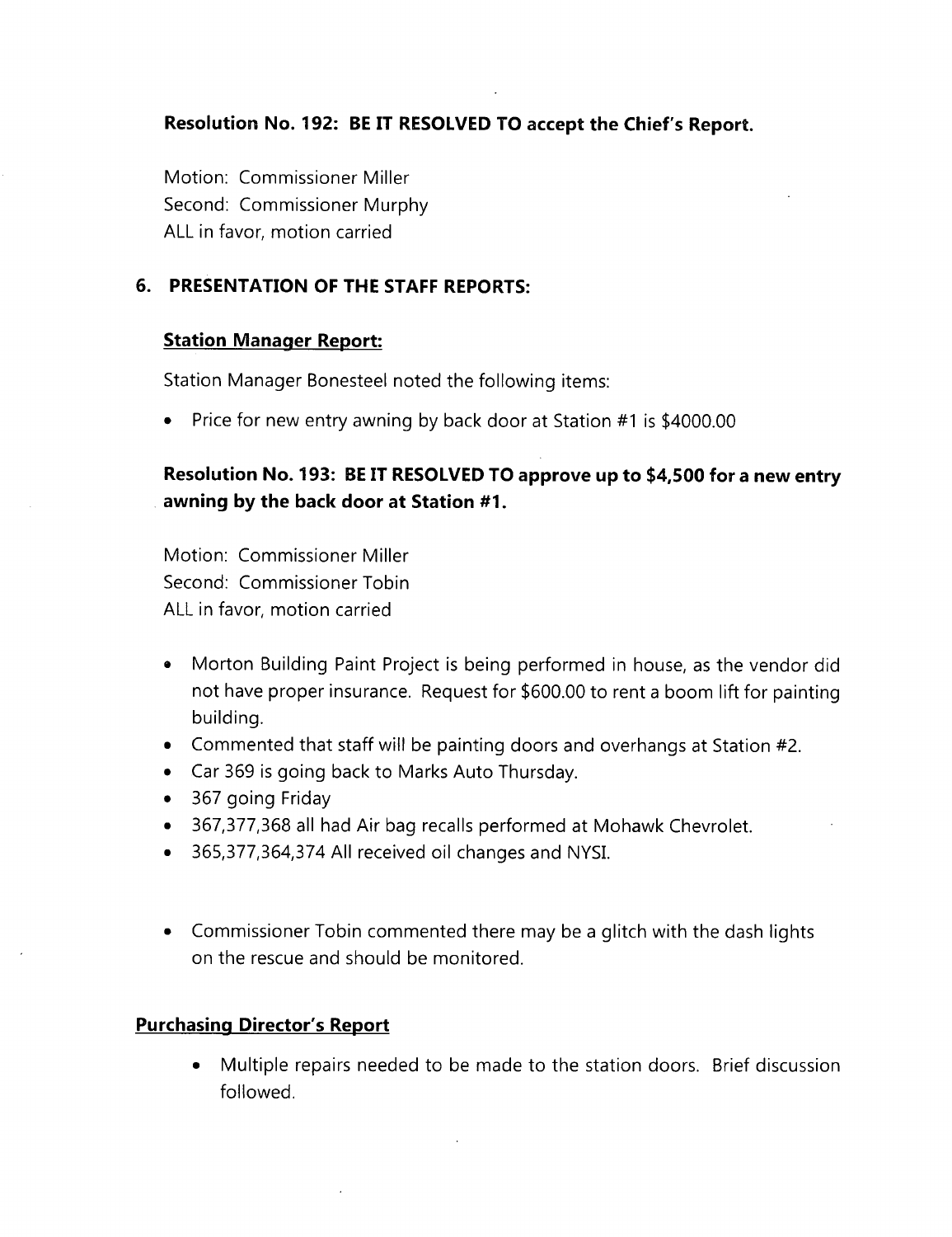**Resolution No. 192: BE IT RESOLVED TO accept the Chief's Report.**

Motion: Commissioner Miller Second: Commissioner Murphy ALL in favor, motion carried

## **6. PRESENTATION OF THE STAFF REPORTS:**

### **Station Manager Report:**

Station Manager Bonesteel noted the following items:

• Price for new entry awning by back door at Station #1 is \$4000.00

# **Resolution No. 193: BE IT RESOLVED TO approve up to \$4,500 for a new entry awning by the back door at Station #1.**

Motion: Commissioner Miller Second: Commissioner Tobin ALL in favor, motion carried

- Morton Building Paint Project is being performed in house, as the vendor did not have proper insurance. Request for \$600.00 to rent <sup>a</sup> boom lift for painting building.
- Commented that staff will be painting doors and overhangs at Station #2.
- Car 369 is going back to Marks Auto Thursday.
- 367 going Friday
- 367,377,368 all had Air bag recalls performed at Mohawk Chevrolet.
- 365,377,364,374 All received oil changes and NYSI.
- Commissioner Tobin commented there may be <sup>a</sup> glitch with the dash lights on the rescue and should be monitored.

## **Purchasing Director's Report**

• Multiple repairs needed to be made to the station doors. Brief discussion followed.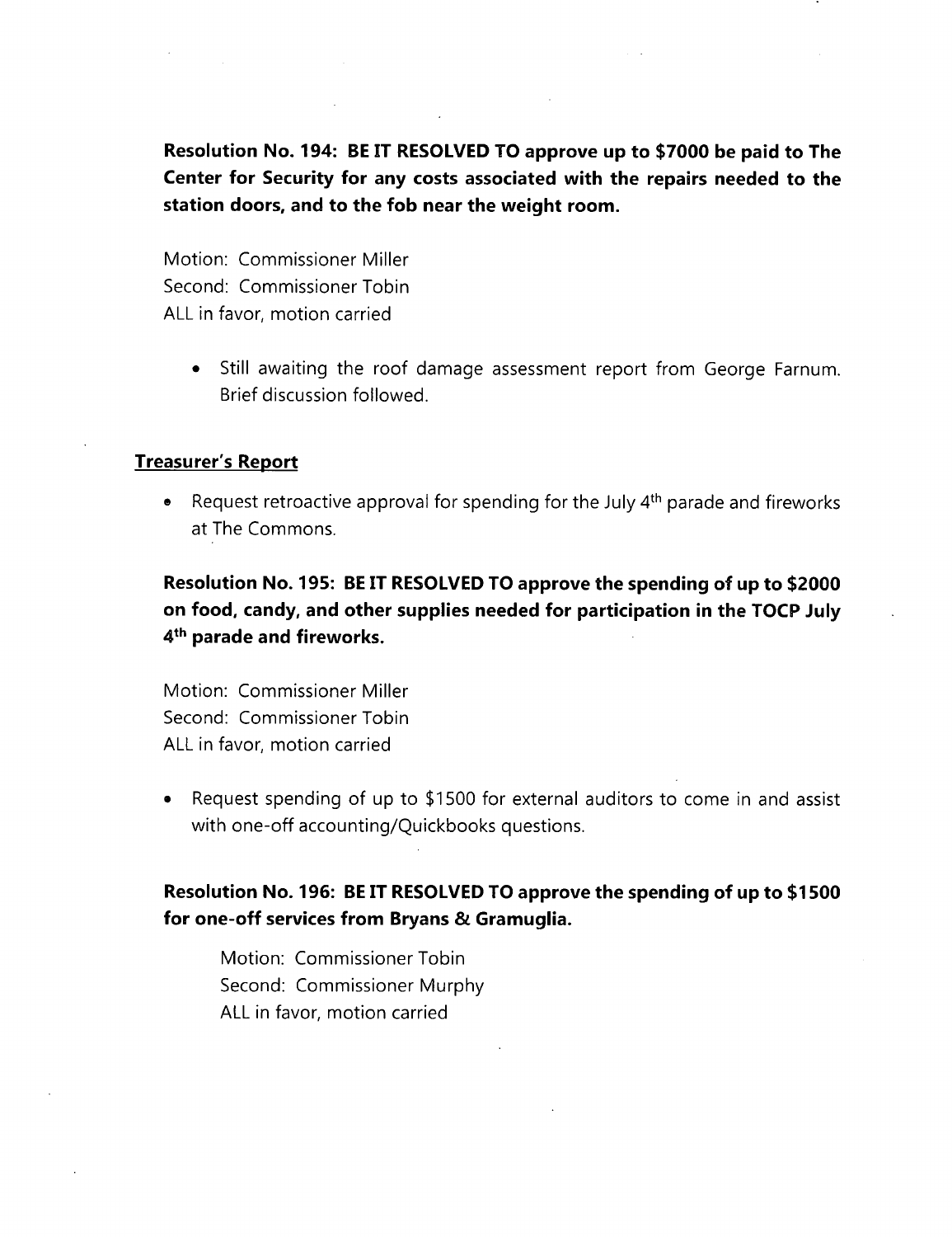**Resolution No. 194: BE IT RESOLVED TO approve up to \$7000 be paid to The Center for Security for any costs associated with the repairs needed to the station doors, and to the fob near the weight room.**

Motion: Commissioner Miller Second: Commissioner Tobin ALL in favor, motion carried

> • Still awaiting the roof damage assessment report from George Farnum. Brief discussion followed.

#### **Treasurer's Report**

• Request retroactive approval for spending for the July  $4<sup>th</sup>$  parade and fireworks at The Commons.

**Resolution No. 195: BE IT RESOLVED TO approve the spending of up to \$2000 on food, candy, and other supplies needed for participation in the TOCP July 4th parade and fireworks.**

Motion: Commissioner Miller Second: Commissioner Tobin ALL in favor, motion carried

• Request spending of up to \$1500 for external auditors to come in and assist with one-off accounting/Quickbooks questions.

## **Resolution No. 196: BE IT RESOLVED TO approve the spending of up to \$1500 for one-off services from Bryans & Gramuglia.**

Motion: Commissioner Tobin Second: Commissioner Murphy ALL in favor, motion carried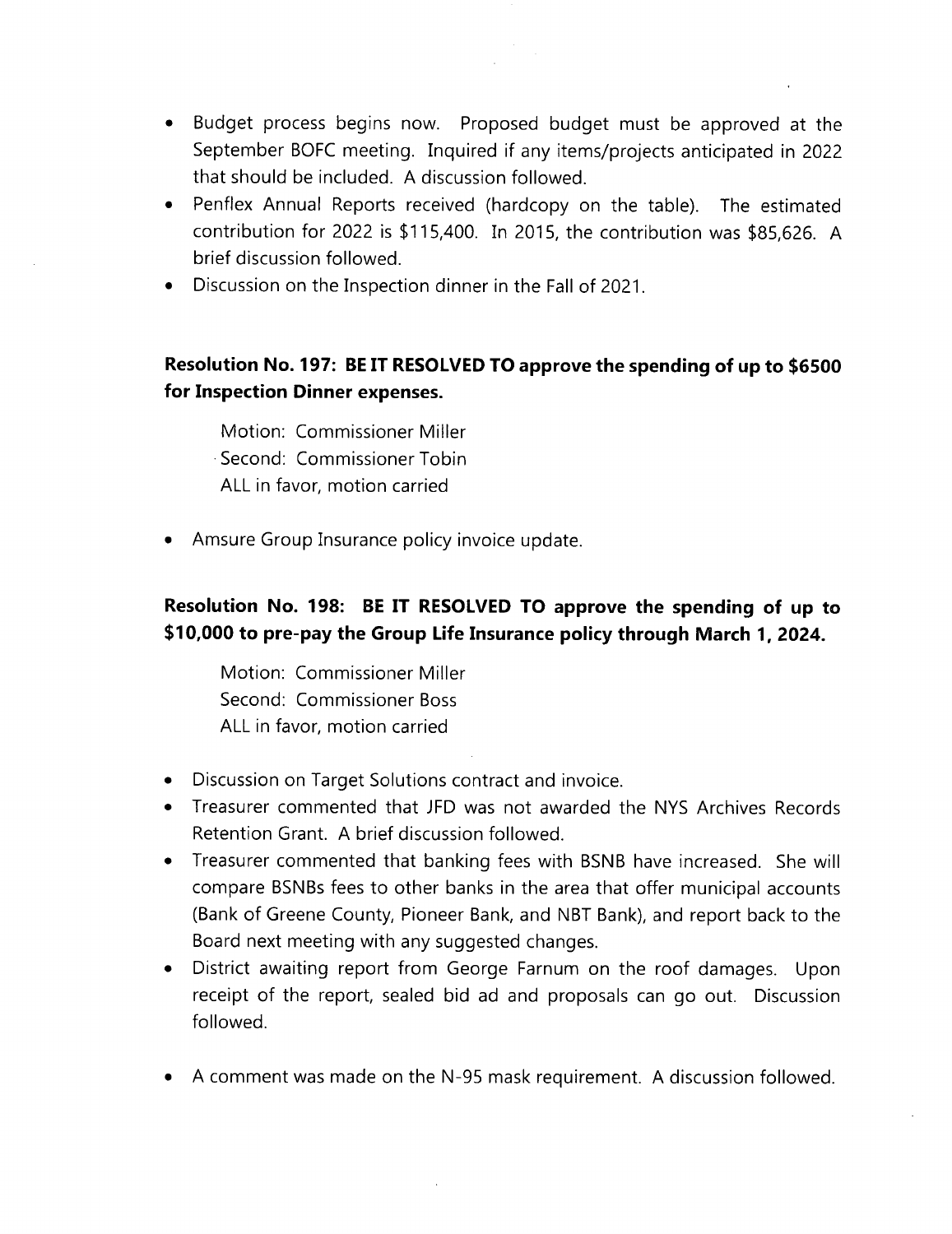- Budget process begins now. Proposed budget must be approved at the September BOFC meeting. Inquired if any items/projects anticipated in 2022 that should be included. A discussion followed.
- Penflex Annual Reports received (hardcopy on the table). The estimated contribution for 2022 is \$115,400. In 2015, the contribution was \$85,626. A brief discussion followed.
- Discussion on the Inspection dinner in the Fall of 2021.

# **Resolution No. 197: BE IT RESOLVED TO approve the spending of up to \$6500 for Inspection Dinner expenses.**

Motion: Commissioner Miller Second: Commissioner Tobin ALL in favor, motion carried

• Amsure Group Insurance policy invoice update.

# **Resolution No. 198: BE IT RESOLVED TO approve the spending of up to \$10,000 to pre-pay the Group Life Insurance policy through March 1, 2024.**

Motion: Commissioner Miller Second: Commissioner Boss ALL in favor, motion carried

- Discussion on Target Solutions contract and invoice.
- Treasurer commented that JFD was not awarded the NYS Archives Records Retention Grant. A brief discussion followed.
- Treasurer commented that banking fees with BSNB have increased. She will compare BSNBs fees to other banks in the area that offer municipal accounts (Bank of Greene County, Pioneer Bank, and NBT Bank), and report back to the Board next meeting with any suggested changes.
- District awaiting report from George Farnum on the roof damages. Upon receipt of the report, sealed bid ad and proposals can go out. Discussion followed.
- A comment was made on the N-95 mask requirement. A discussion followed.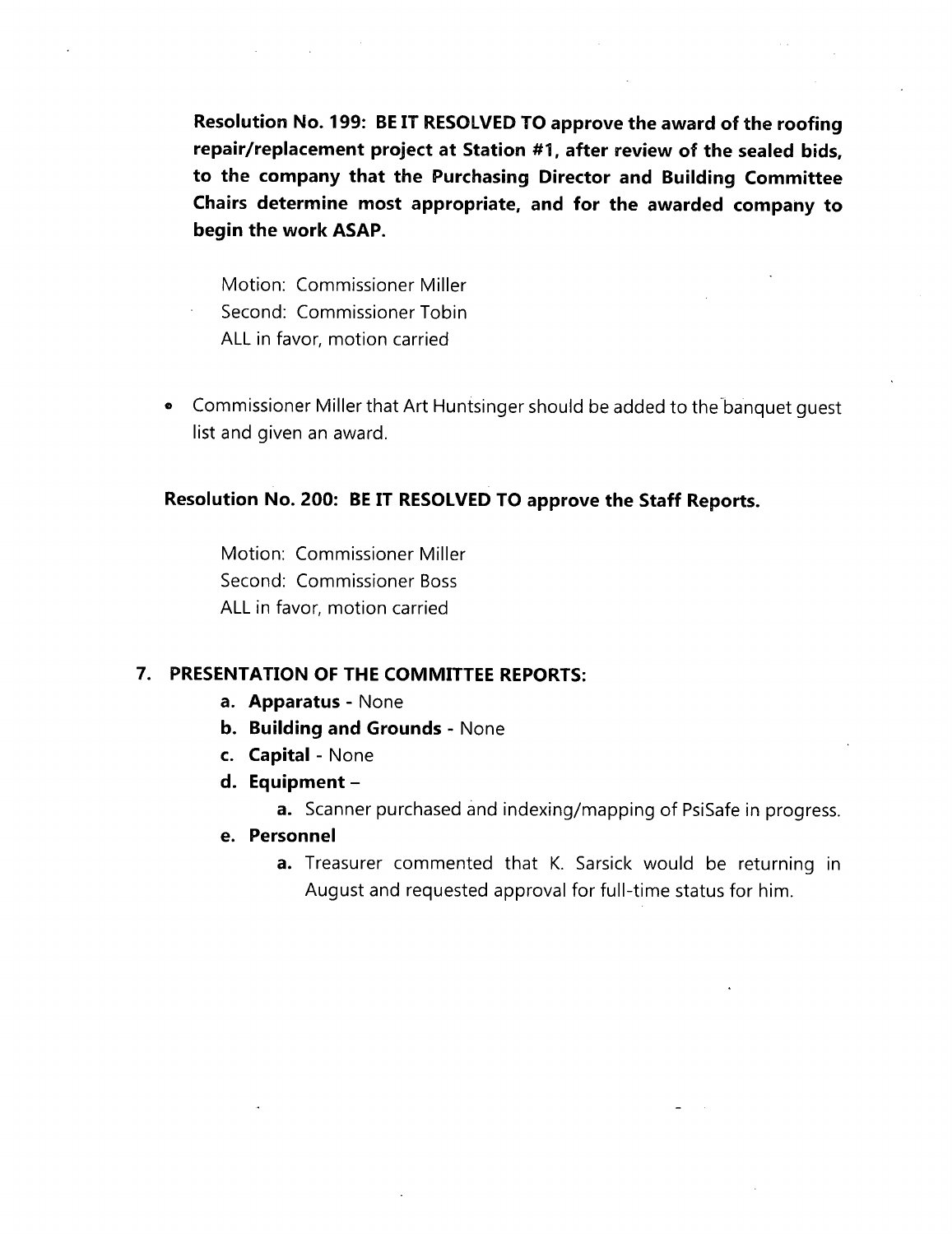**Resolution No. 199: BE IT RESOLVED TO approve the award of the roofing repair/replacement project at Station #1, after review of the sealed bids, to the company that the Purchasing Director and Building Committee Chairs determine most appropriate, and for the awarded company to begin the work ASAP.**

Motion: Commissioner Miller Second: Commissioner Tobin ALL in favor, motion carried

® Commissioner Miller that Art Huntsinger should be added to the banquet guest list and given an award.

### **Resolution No. 200: BE IT RESOLVED TO approve the Staff Reports.**

Motion: Commissioner Miller Second: Commissioner Boss ALL in favor, motion carried

#### **7. PRESENTATION OF THE COMMITTEE REPORTS:**

- **a. Apparatus** None
- **b. Building and Grounds** None
- **c. Capital** None
- **d. Equipment**
	- **a.** Scanner purchased and indexing/mapping of PsiSafe in progress.
- **e. Personnel**
	- **a.** Treasurer commented that K. Sarsick would be returning in August and requested approval for full-time status for him.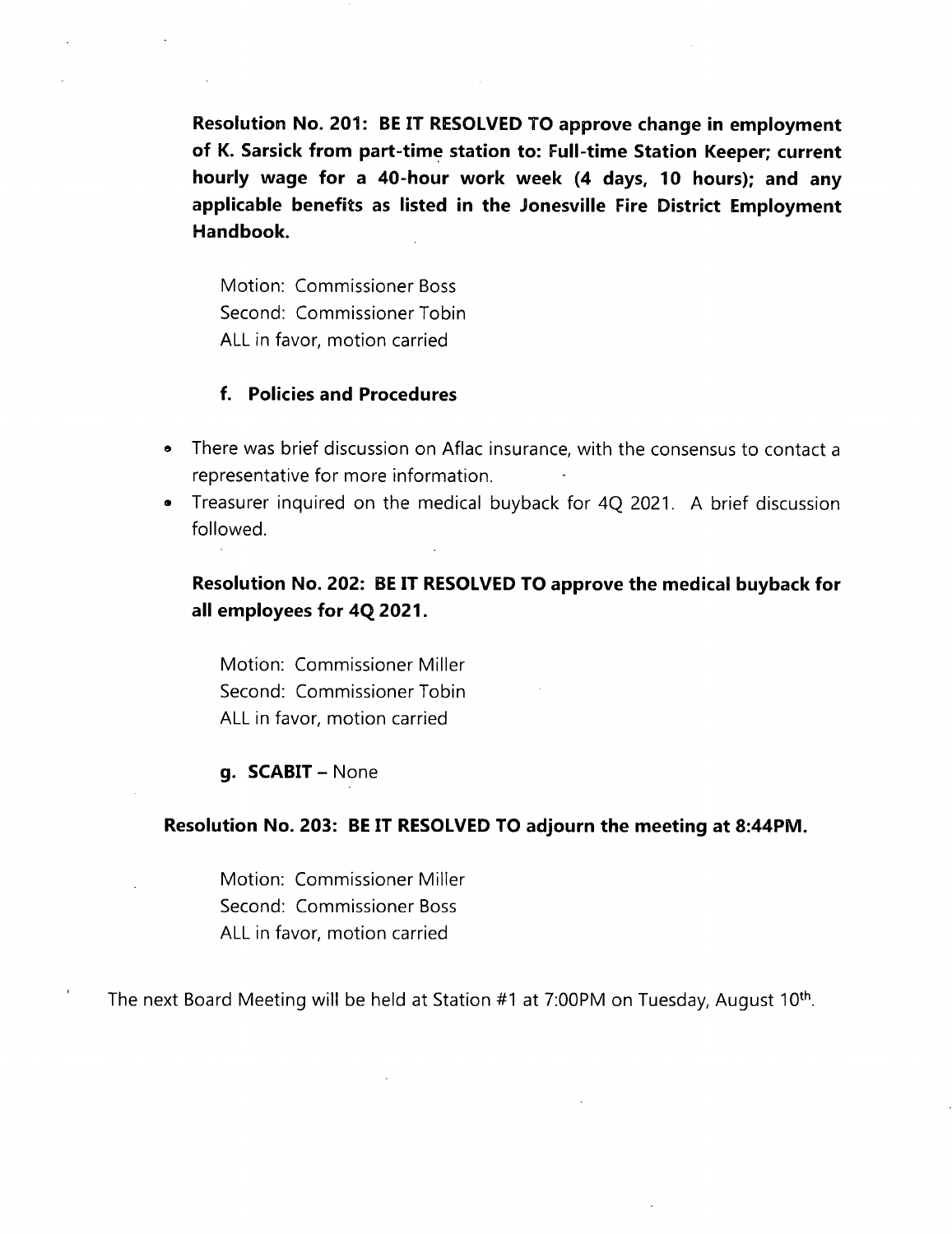**Resolution No. 201: BE IT RESOLVED TO approve change in employment of K. Sarsick from part-time station to: Full-time Station Keeper; current hourly wage for a 40-hour work week (4 days, 10 hours); and any applicable benefits as listed in the Jonesville Fire District Employment Handbook.**

Motion: Commissioner Boss Second: Commissioner Tobin ALL in favor, motion carried

#### **f. Policies and Procedures**

- **®** There was brief discussion on Aflac insurance, with the consensus to contact <sup>a</sup> representative for more information.
- » Treasurer inquired on the medical buyback for 4Q 2021. A brief discussion followed.

## **Resolution No. 202: BE IT RESOLVED TO approve the medical buyback for all employees for 4Q 2021.**

Motion: Commissioner Miller Second: Commissioner Tobin ALL in favor, motion carried

#### **g. SCABIT** - None

#### **Resolution No. 203: BE IT RESOLVED TO adjourn the meeting at 8:44PM.**

Motion: Commissioner Miller Second: Commissioner Boss ALL in favor, motion carried

The next Board Meeting will be held at Station #1 at 7:00PM on Tuesday, August 10th.